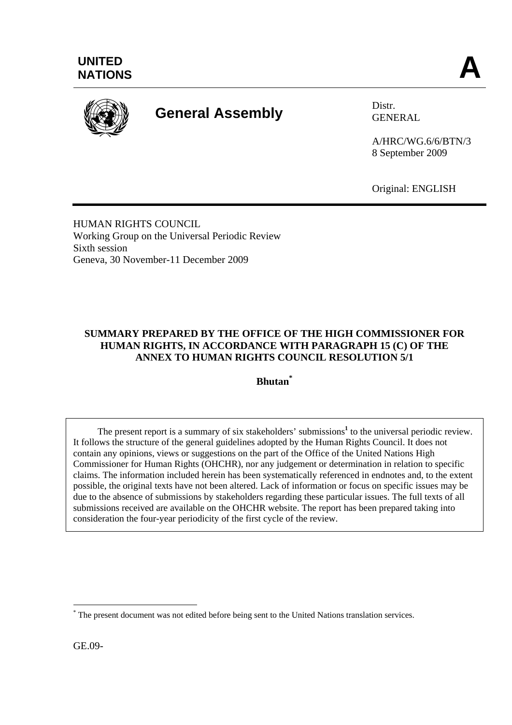

# **General Assembly** Distr.

GENERAL

A/HRC/WG.6/6/BTN/3 8 September 2009

Original: ENGLISH

HUMAN RIGHTS COUNCIL Working Group on the Universal Periodic Review Sixth session Geneva, 30 November-11 December 2009

# **SUMMARY PREPARED BY THE OFFICE OF THE HIGH COMMISSIONER FOR HUMAN RIGHTS, IN ACCORDANCE WITH PARAGRAPH 15 (C) OF THE ANNEX TO HUMAN RIGHTS COUNCIL RESOLUTION 5/1**

**Bhutan\***

The present report is a summary of six stakeholders' submissions<sup>1</sup> to the universal periodic review. It follows the structure of the general guidelines adopted by the Human Rights Council. It does not contain any opinions, views or suggestions on the part of the Office of the United Nations High Commissioner for Human Rights (OHCHR), nor any judgement or determination in relation to specific claims. The information included herein has been systematically referenced in endnotes and, to the extent possible, the original texts have not been altered. Lack of information or focus on specific issues may be due to the absence of submissions by stakeholders regarding these particular issues. The full texts of all submissions received are available on the OHCHR website. The report has been prepared taking into consideration the four-year periodicity of the first cycle of the review.

GE.09-

 $\overline{a}$ 

<sup>\*</sup> The present document was not edited before being sent to the United Nations translation services.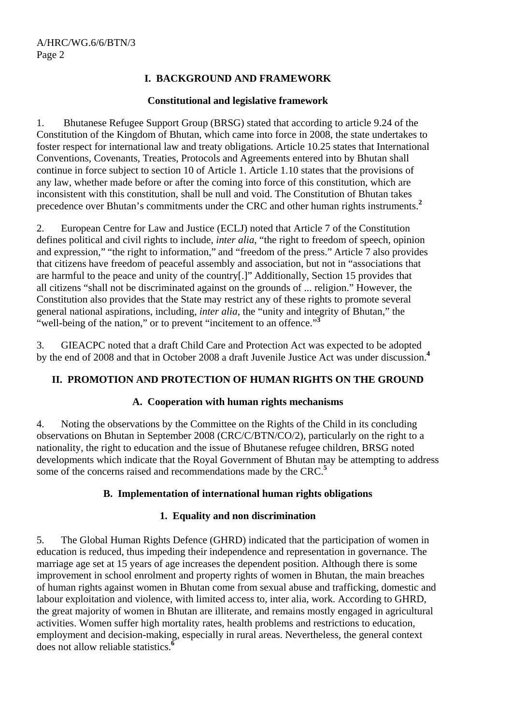# **I. BACKGROUND AND FRAMEWORK**

### **Constitutional and legislative framework**

1. Bhutanese Refugee Support Group (BRSG) stated that according to article 9.24 of the Constitution of the Kingdom of Bhutan, which came into force in 2008, the state undertakes to foster respect for international law and treaty obligations*.* Article 10.25 states that International Conventions, Covenants, Treaties, Protocols and Agreements entered into by Bhutan shall continue in force subject to section 10 of Article 1. Article 1.10 states that the provisions of any law, whether made before or after the coming into force of this constitution, which are inconsistent with this constitution, shall be null and void. The Constitution of Bhutan takes precedence over Bhutan's commitments under the CRC and other human rights instruments.**<sup>2</sup>**

2. European Centre for Law and Justice (ECLJ) noted that Article 7 of the Constitution defines political and civil rights to include, *inter alia*, "the right to freedom of speech, opinion and expression," "the right to information," and "freedom of the press." Article 7 also provides that citizens have freedom of peaceful assembly and association, but not in "associations that are harmful to the peace and unity of the country[.]" Additionally, Section 15 provides that all citizens "shall not be discriminated against on the grounds of ... religion." However, the Constitution also provides that the State may restrict any of these rights to promote several general national aspirations, including, *inter alia*, the "unity and integrity of Bhutan," the "well-being of the nation," or to prevent "incitement to an offence."**<sup>3</sup>**

3. GIEACPC noted that a draft Child Care and Protection Act was expected to be adopted by the end of 2008 and that in October 2008 a draft Juvenile Justice Act was under discussion.**<sup>4</sup>**

# **II. PROMOTION AND PROTECTION OF HUMAN RIGHTS ON THE GROUND**

### **A. Cooperation with human rights mechanisms**

4. Noting the observations by the Committee on the Rights of the Child in its concluding observations on Bhutan in September 2008 (CRC/C/BTN/CO/2), particularly on the right to a nationality, the right to education and the issue of Bhutanese refugee children, BRSG noted developments which indicate that the Royal Government of Bhutan may be attempting to address some of the concerns raised and recommendations made by the CRC.**<sup>5</sup>**

# **B. Implementation of international human rights obligations**

# **1. Equality and non discrimination**

5. The Global Human Rights Defence (GHRD) indicated that the participation of women in education is reduced, thus impeding their independence and representation in governance. The marriage age set at 15 years of age increases the dependent position. Although there is some improvement in school enrolment and property rights of women in Bhutan, the main breaches of human rights against women in Bhutan come from sexual abuse and trafficking, domestic and labour exploitation and violence, with limited access to, inter alia, work. According to GHRD, the great majority of women in Bhutan are illiterate, and remains mostly engaged in agricultural activities. Women suffer high mortality rates, health problems and restrictions to education, employment and decision-making, especially in rural areas. Nevertheless, the general context does not allow reliable statistics.**<sup>6</sup>**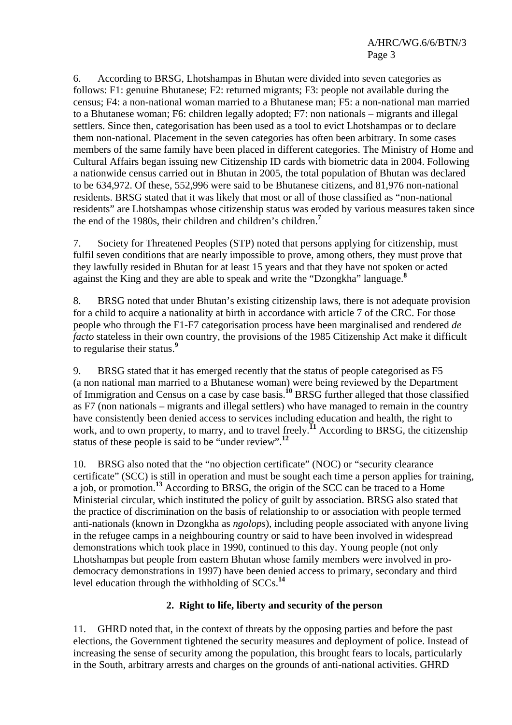6. According to BRSG, Lhotshampas in Bhutan were divided into seven categories as follows: F1: genuine Bhutanese; F2: returned migrants; F3: people not available during the census; F4: a non-national woman married to a Bhutanese man; F5: a non-national man married to a Bhutanese woman; F6: children legally adopted; F7: non nationals – migrants and illegal settlers. Since then, categorisation has been used as a tool to evict Lhotshampas or to declare them non-national. Placement in the seven categories has often been arbitrary. In some cases members of the same family have been placed in different categories. The Ministry of Home and Cultural Affairs began issuing new Citizenship ID cards with biometric data in 2004. Following a nationwide census carried out in Bhutan in 2005, the total population of Bhutan was declared to be 634,972. Of these, 552,996 were said to be Bhutanese citizens, and 81,976 non-national residents. BRSG stated that it was likely that most or all of those classified as "non-national residents" are Lhotshampas whose citizenship status was eroded by various measures taken since the end of the 1980s, their children and children's children.**<sup>7</sup>**

7. Society for Threatened Peoples (STP) noted that persons applying for citizenship, must fulfil seven conditions that are nearly impossible to prove, among others, they must prove that they lawfully resided in Bhutan for at least 15 years and that they have not spoken or acted against the King and they are able to speak and write the "Dzongkha" language.**<sup>8</sup>**

8. BRSG noted that under Bhutan's existing citizenship laws, there is not adequate provision for a child to acquire a nationality at birth in accordance with article 7 of the CRC. For those people who through the F1-F7 categorisation process have been marginalised and rendered *de facto* stateless in their own country, the provisions of the 1985 Citizenship Act make it difficult to regularise their status.**<sup>9</sup>**

9. BRSG stated that it has emerged recently that the status of people categorised as F5 (a non national man married to a Bhutanese woman) were being reviewed by the Department of Immigration and Census on a case by case basis.**<sup>10</sup>** BRSG further alleged that those classified as F7 (non nationals – migrants and illegal settlers) who have managed to remain in the country have consistently been denied access to services including education and health, the right to work, and to own property, to marry, and to travel freely.<sup>11</sup> According to BRSG, the citizenship status of these people is said to be "under review".**<sup>12</sup>**

10. BRSG also noted that the "no objection certificate" (NOC) or "security clearance certificate" (SCC) is still in operation and must be sought each time a person applies for training, a job, or promotion.**<sup>13</sup>** According to BRSG, the origin of the SCC can be traced to a Home Ministerial circular, which instituted the policy of guilt by association. BRSG also stated that the practice of discrimination on the basis of relationship to or association with people termed anti-nationals (known in Dzongkha as *ngolops*), including people associated with anyone living in the refugee camps in a neighbouring country or said to have been involved in widespread demonstrations which took place in 1990, continued to this day. Young people (not only Lhotshampas but people from eastern Bhutan whose family members were involved in prodemocracy demonstrations in 1997) have been denied access to primary, secondary and third level education through the withholding of SCCs.**<sup>14</sup>**

# **2. Right to life, liberty and security of the person**

11. GHRD noted that, in the context of threats by the opposing parties and before the past elections, the Government tightened the security measures and deployment of police. Instead of increasing the sense of security among the population, this brought fears to locals, particularly in the South, arbitrary arrests and charges on the grounds of anti-national activities. GHRD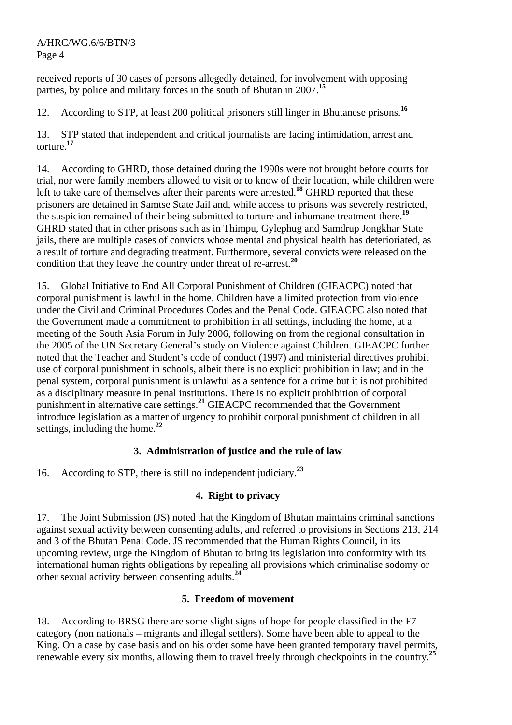A/HRC/WG.6/6/BTN/3 Page 4

received reports of 30 cases of persons allegedly detained, for involvement with opposing parties, by police and military forces in the south of Bhutan in 2007.**<sup>15</sup>**

12. According to STP, at least 200 political prisoners still linger in Bhutanese prisons.**<sup>16</sup>**

13. STP stated that independent and critical journalists are facing intimidation, arrest and torture.**<sup>17</sup>**

14. According to GHRD, those detained during the 1990s were not brought before courts for trial, nor were family members allowed to visit or to know of their location, while children were left to take care of themselves after their parents were arrested.**<sup>18</sup>** GHRD reported that these prisoners are detained in Samtse State Jail and, while access to prisons was severely restricted, the suspicion remained of their being submitted to torture and inhumane treatment there.**<sup>19</sup>** GHRD stated that in other prisons such as in Thimpu, Gylephug and Samdrup Jongkhar State jails, there are multiple cases of convicts whose mental and physical health has deterioriated, as a result of torture and degrading treatment. Furthermore, several convicts were released on the condition that they leave the country under threat of re-arrest.**<sup>20</sup>**

15. Global Initiative to End All Corporal Punishment of Children (GIEACPC) noted that corporal punishment is lawful in the home. Children have a limited protection from violence under the Civil and Criminal Procedures Codes and the Penal Code. GIEACPC also noted that the Government made a commitment to prohibition in all settings, including the home, at a meeting of the South Asia Forum in July 2006, following on from the regional consultation in the 2005 of the UN Secretary General's study on Violence against Children. GIEACPC further noted that the Teacher and Student's code of conduct (1997) and ministerial directives prohibit use of corporal punishment in schools, albeit there is no explicit prohibition in law; and in the penal system, corporal punishment is unlawful as a sentence for a crime but it is not prohibited as a disciplinary measure in penal institutions. There is no explicit prohibition of corporal punishment in alternative care settings.**<sup>21</sup>** GIEACPC recommended that the Government introduce legislation as a matter of urgency to prohibit corporal punishment of children in all settings, including the home.**<sup>22</sup>**

# **3. Administration of justice and the rule of law**

16. According to STP, there is still no independent judiciary.**<sup>23</sup>**

# **4. Right to privacy**

17. The Joint Submission (JS) noted that the Kingdom of Bhutan maintains criminal sanctions against sexual activity between consenting adults, and referred to provisions in Sections 213, 214 and 3 of the Bhutan Penal Code. JS recommended that the Human Rights Council, in its upcoming review, urge the Kingdom of Bhutan to bring its legislation into conformity with its international human rights obligations by repealing all provisions which criminalise sodomy or other sexual activity between consenting adults.**<sup>24</sup>**

### **5. Freedom of movement**

18. According to BRSG there are some slight signs of hope for people classified in the F7 category (non nationals – migrants and illegal settlers). Some have been able to appeal to the King. On a case by case basis and on his order some have been granted temporary travel permits, renewable every six months, allowing them to travel freely through checkpoints in the country.**<sup>25</sup>**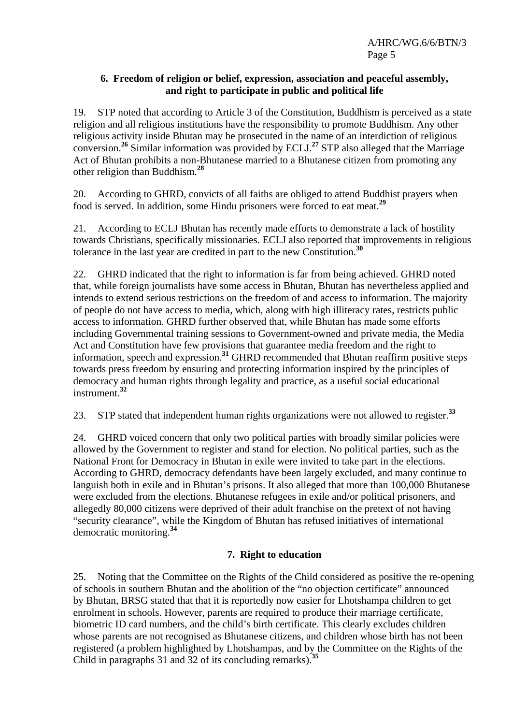A/HRC/WG.6/6/BTN/3 Page 5

#### **6. Freedom of religion or belief, expression, association and peaceful assembly, and right to participate in public and political life**

19. STP noted that according to Article 3 of the Constitution, Buddhism is perceived as a state religion and all religious institutions have the responsibility to promote Buddhism. Any other religious activity inside Bhutan may be prosecuted in the name of an interdiction of religious conversion.**<sup>26</sup>** Similar information was provided by ECLJ.**<sup>27</sup>** STP also alleged that the Marriage Act of Bhutan prohibits a non-Bhutanese married to a Bhutanese citizen from promoting any other religion than Buddhism.**<sup>28</sup>**

20. According to GHRD, convicts of all faiths are obliged to attend Buddhist prayers when food is served. In addition, some Hindu prisoners were forced to eat meat.**<sup>29</sup>**

21. According to ECLJ Bhutan has recently made efforts to demonstrate a lack of hostility towards Christians, specifically missionaries. ECLJ also reported that improvements in religious tolerance in the last year are credited in part to the new Constitution.**<sup>30</sup>**

22. GHRD indicated that the right to information is far from being achieved. GHRD noted that, while foreign journalists have some access in Bhutan, Bhutan has nevertheless applied and intends to extend serious restrictions on the freedom of and access to information. The majority of people do not have access to media, which, along with high illiteracy rates, restricts public access to information. GHRD further observed that, while Bhutan has made some efforts including Governmental training sessions to Government-owned and private media, the Media Act and Constitution have few provisions that guarantee media freedom and the right to information, speech and expression.**<sup>31</sup>** GHRD recommended that Bhutan reaffirm positive steps towards press freedom by ensuring and protecting information inspired by the principles of democracy and human rights through legality and practice, as a useful social educational instrument.**<sup>32</sup>**

23. STP stated that independent human rights organizations were not allowed to register.**<sup>33</sup>**

24. GHRD voiced concern that only two political parties with broadly similar policies were allowed by the Government to register and stand for election. No political parties, such as the National Front for Democracy in Bhutan in exile were invited to take part in the elections. According to GHRD, democracy defendants have been largely excluded, and many continue to languish both in exile and in Bhutan's prisons. It also alleged that more than 100,000 Bhutanese were excluded from the elections. Bhutanese refugees in exile and/or political prisoners, and allegedly 80,000 citizens were deprived of their adult franchise on the pretext of not having "security clearance", while the Kingdom of Bhutan has refused initiatives of international democratic monitoring.**<sup>34</sup>**

### **7. Right to education**

25. Noting that the Committee on the Rights of the Child considered as positive the re-opening of schools in southern Bhutan and the abolition of the "no objection certificate" announced by Bhutan, BRSG stated that that it is reportedly now easier for Lhotshampa children to get enrolment in schools. However, parents are required to produce their marriage certificate, biometric ID card numbers, and the child's birth certificate. This clearly excludes children whose parents are not recognised as Bhutanese citizens, and children whose birth has not been registered (a problem highlighted by Lhotshampas, and by the Committee on the Rights of the Child in paragraphs 31 and 32 of its concluding remarks).**<sup>35</sup>**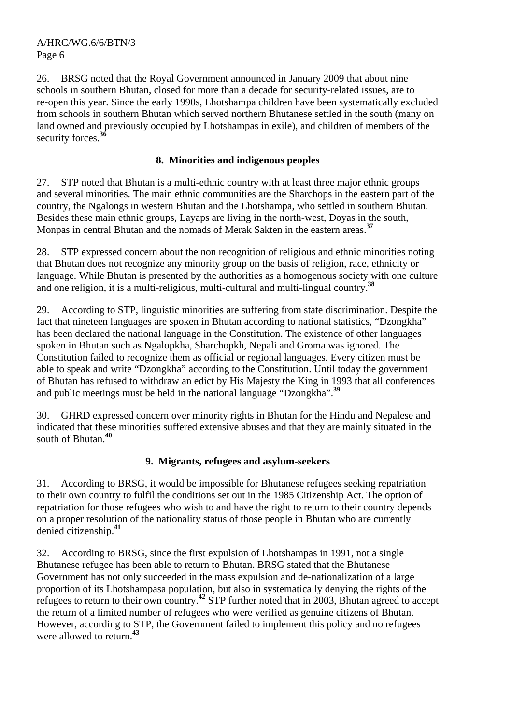26. BRSG noted that the Royal Government announced in January 2009 that about nine schools in southern Bhutan, closed for more than a decade for security-related issues, are to re-open this year. Since the early 1990s, Lhotshampa children have been systematically excluded from schools in southern Bhutan which served northern Bhutanese settled in the south (many on land owned and previously occupied by Lhotshampas in exile), and children of members of the security forces.**<sup>36</sup>**

# **8. Minorities and indigenous peoples**

27. STP noted that Bhutan is a multi-ethnic country with at least three major ethnic groups and several minorities. The main ethnic communities are the Sharchops in the eastern part of the country, the Ngalongs in western Bhutan and the Lhotshampa, who settled in southern Bhutan. Besides these main ethnic groups, Layaps are living in the north-west, Doyas in the south, Monpas in central Bhutan and the nomads of Merak Sakten in the eastern areas.**<sup>37</sup>**

28. STP expressed concern about the non recognition of religious and ethnic minorities noting that Bhutan does not recognize any minority group on the basis of religion, race, ethnicity or language. While Bhutan is presented by the authorities as a homogenous society with one culture and one religion, it is a multi-religious, multi-cultural and multi-lingual country.**<sup>38</sup>**

29. According to STP, linguistic minorities are suffering from state discrimination. Despite the fact that nineteen languages are spoken in Bhutan according to national statistics, "Dzongkha" has been declared the national language in the Constitution. The existence of other languages spoken in Bhutan such as Ngalopkha, Sharchopkh, Nepali and Groma was ignored. The Constitution failed to recognize them as official or regional languages. Every citizen must be able to speak and write "Dzongkha" according to the Constitution. Until today the government of Bhutan has refused to withdraw an edict by His Majesty the King in 1993 that all conferences and public meetings must be held in the national language "Dzongkha".**<sup>39</sup>**

30. GHRD expressed concern over minority rights in Bhutan for the Hindu and Nepalese and indicated that these minorities suffered extensive abuses and that they are mainly situated in the south of Bhutan.**<sup>40</sup>**

### **9. Migrants, refugees and asylum-seekers**

31. According to BRSG, it would be impossible for Bhutanese refugees seeking repatriation to their own country to fulfil the conditions set out in the 1985 Citizenship Act. The option of repatriation for those refugees who wish to and have the right to return to their country depends on a proper resolution of the nationality status of those people in Bhutan who are currently denied citizenship.**<sup>41</sup>**

32. According to BRSG, since the first expulsion of Lhotshampas in 1991, not a single Bhutanese refugee has been able to return to Bhutan. BRSG stated that the Bhutanese Government has not only succeeded in the mass expulsion and de-nationalization of a large proportion of its Lhotshampasa population, but also in systematically denying the rights of the refugees to return to their own country.**<sup>42</sup>** STP further noted that in 2003, Bhutan agreed to accept the return of a limited number of refugees who were verified as genuine citizens of Bhutan. However, according to STP, the Government failed to implement this policy and no refugees were allowed to return.**<sup>43</sup>**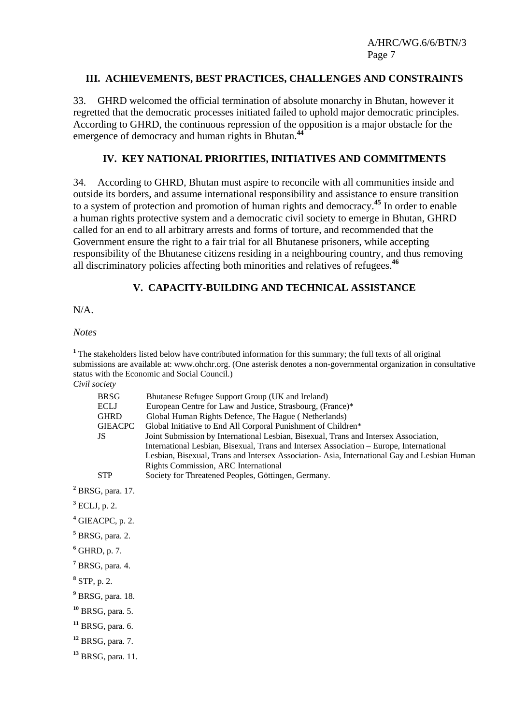A/HRC/WG.6/6/BTN/3 Page 7

#### **III. ACHIEVEMENTS, BEST PRACTICES, CHALLENGES AND CONSTRAINTS**

33. GHRD welcomed the official termination of absolute monarchy in Bhutan, however it regretted that the democratic processes initiated failed to uphold major democratic principles. According to GHRD, the continuous repression of the opposition is a major obstacle for the emergence of democracy and human rights in Bhutan.**44** 

#### **IV. KEY NATIONAL PRIORITIES, INITIATIVES AND COMMITMENTS**

34. According to GHRD, Bhutan must aspire to reconcile with all communities inside and outside its borders, and assume international responsibility and assistance to ensure transition to a system of protection and promotion of human rights and democracy.**<sup>45</sup>** In order to enable a human rights protective system and a democratic civil society to emerge in Bhutan, GHRD called for an end to all arbitrary arrests and forms of torture, and recommended that the Government ensure the right to a fair trial for all Bhutanese prisoners, while accepting responsibility of the Bhutanese citizens residing in a neighbouring country, and thus removing all discriminatory policies affecting both minorities and relatives of refugees.**<sup>46</sup>**

#### **V. CAPACITY-BUILDING AND TECHNICAL ASSISTANCE**

 $N/A$ 

#### *Notes*

<sup>1</sup> The stakeholders listed below have contributed information for this summary; the full texts of all original submissions are available at: www.ohchr.org. (One asterisk denotes a non-governmental organization in consultative status with the Economic and Social Council.) *Civil society* 

| <b>BRSG</b><br><b>ECLJ</b><br><b>GHRD</b><br><b>GIEACPC</b><br><b>JS</b> | Bhutanese Refugee Support Group (UK and Ireland)<br>European Centre for Law and Justice, Strasbourg, (France)*<br>Global Human Rights Defence, The Hague (Netherlands)<br>Global Initiative to End All Corporal Punishment of Children*<br>Joint Submission by International Lesbian, Bisexual, Trans and Intersex Association,<br>International Lesbian, Bisexual, Trans and Intersex Association – Europe, International<br>Lesbian, Bisexual, Trans and Intersex Association-Asia, International Gay and Lesbian Human<br>Rights Commission, ARC International |
|--------------------------------------------------------------------------|-------------------------------------------------------------------------------------------------------------------------------------------------------------------------------------------------------------------------------------------------------------------------------------------------------------------------------------------------------------------------------------------------------------------------------------------------------------------------------------------------------------------------------------------------------------------|
| <b>STP</b>                                                               | Society for Threatened Peoples, Göttingen, Germany.                                                                                                                                                                                                                                                                                                                                                                                                                                                                                                               |
| $2$ BRSG, para. 17.                                                      |                                                                                                                                                                                                                                                                                                                                                                                                                                                                                                                                                                   |
| $^3$ ECLJ, p. 2.                                                         |                                                                                                                                                                                                                                                                                                                                                                                                                                                                                                                                                                   |
| <sup>4</sup> GIEACPC, p. 2.                                              |                                                                                                                                                                                                                                                                                                                                                                                                                                                                                                                                                                   |
| $5 BRSG$ , para. 2.                                                      |                                                                                                                                                                                                                                                                                                                                                                                                                                                                                                                                                                   |
| $6$ GHRD, p. 7.                                                          |                                                                                                                                                                                                                                                                                                                                                                                                                                                                                                                                                                   |
| $7$ BRSG, para. 4.                                                       |                                                                                                                                                                                                                                                                                                                                                                                                                                                                                                                                                                   |
| $8$ STP, p. 2.                                                           |                                                                                                                                                                                                                                                                                                                                                                                                                                                                                                                                                                   |
| <sup>9</sup> BRSG, para. 18.                                             |                                                                                                                                                                                                                                                                                                                                                                                                                                                                                                                                                                   |
| $10$ BRSG, para. 5.                                                      |                                                                                                                                                                                                                                                                                                                                                                                                                                                                                                                                                                   |
| $11$ BRSG, para. 6.                                                      |                                                                                                                                                                                                                                                                                                                                                                                                                                                                                                                                                                   |
| $12$ BRSG, para. 7.                                                      |                                                                                                                                                                                                                                                                                                                                                                                                                                                                                                                                                                   |
| <sup>13</sup> BRSG, para. 11.                                            |                                                                                                                                                                                                                                                                                                                                                                                                                                                                                                                                                                   |
|                                                                          |                                                                                                                                                                                                                                                                                                                                                                                                                                                                                                                                                                   |